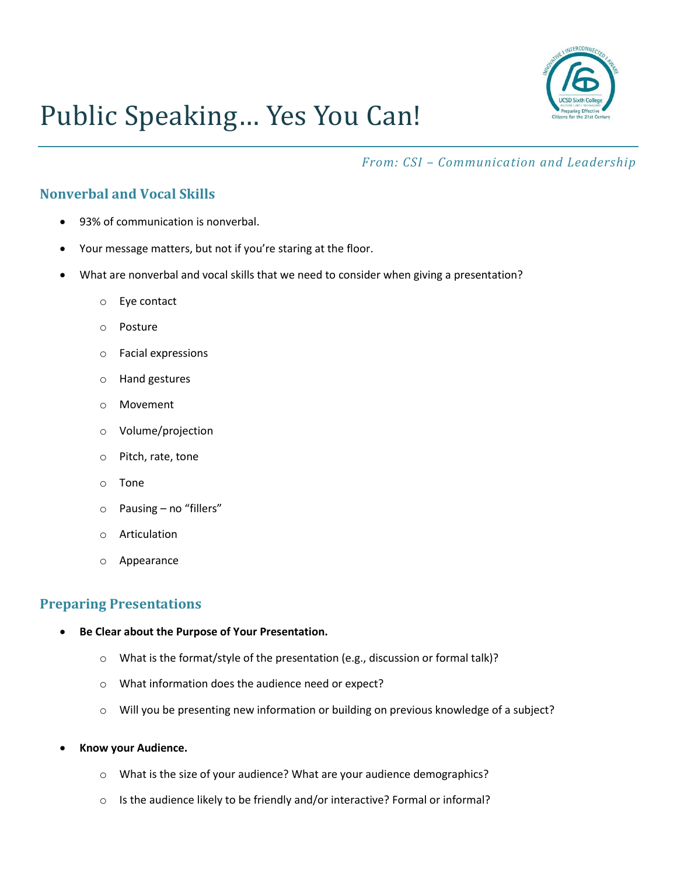

# Public Speaking… Yes You Can!

*From: CSI – Communication and Leadership*

## **Nonverbal and Vocal Skills**

- 93% of communication is nonverbal.
- Your message matters, but not if you're staring at the floor.
- What are nonverbal and vocal skills that we need to consider when giving a presentation?
	- o Eye contact
	- o Posture
	- o Facial expressions
	- o Hand gestures
	- o Movement
	- o Volume/projection
	- o Pitch, rate, tone
	- o Tone
	- o Pausing no "fillers"
	- o Articulation
	- o Appearance

### **Preparing Presentations**

- **Be Clear about the Purpose of Your Presentation.**
	- o What is the format/style of the presentation (e.g., discussion or formal talk)?
	- o What information does the audience need or expect?
	- $\circ$  Will you be presenting new information or building on previous knowledge of a subject?
- **Know your Audience.**
	- o What is the size of your audience? What are your audience demographics?
	- o Is the audience likely to be friendly and/or interactive? Formal or informal?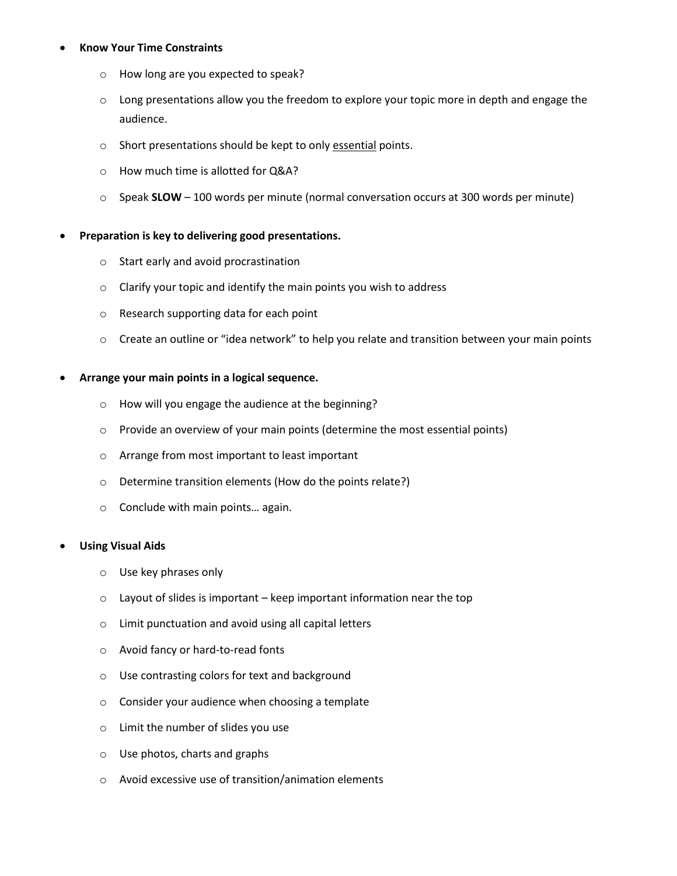#### **Know Your Time Constraints**

- o How long are you expected to speak?
- $\circ$  Long presentations allow you the freedom to explore your topic more in depth and engage the audience.
- o Short presentations should be kept to only essential points.
- o How much time is allotted for Q&A?
- o Speak **SLOW** 100 words per minute (normal conversation occurs at 300 words per minute)

#### **Preparation is key to delivering good presentations.**

- o Start early and avoid procrastination
- o Clarify your topic and identify the main points you wish to address
- o Research supporting data for each point
- $\circ$  Create an outline or "idea network" to help you relate and transition between your main points

#### **Arrange your main points in a logical sequence.**

- o How will you engage the audience at the beginning?
- o Provide an overview of your main points (determine the most essential points)
- o Arrange from most important to least important
- o Determine transition elements (How do the points relate?)
- o Conclude with main points… again.

#### **Using Visual Aids**

- o Use key phrases only
- $\circ$  Layout of slides is important keep important information near the top
- o Limit punctuation and avoid using all capital letters
- o Avoid fancy or hard-to-read fonts
- o Use contrasting colors for text and background
- o Consider your audience when choosing a template
- o Limit the number of slides you use
- o Use photos, charts and graphs
- o Avoid excessive use of transition/animation elements